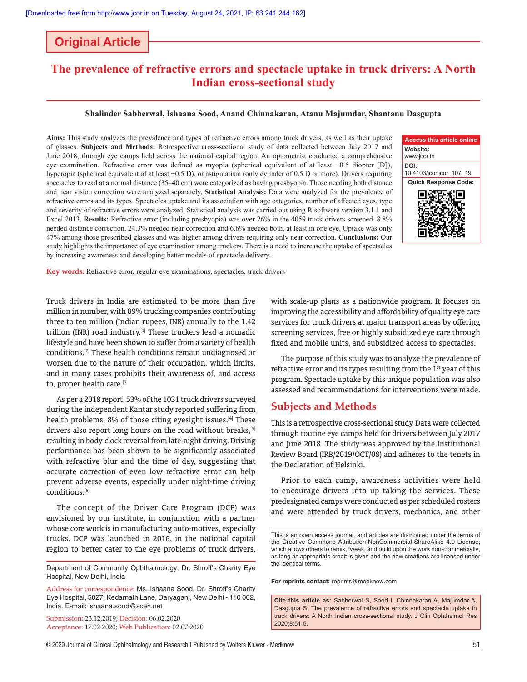## **Original Article**

# **The prevalence of refractive errors and spectacle uptake in truck drivers: A North Indian cross‑sectional study**

#### **Shalinder Sabherwal, Ishaana Sood, Anand Chinnakaran, Atanu Majumdar, Shantanu Dasgupta**

**Aims:** This study analyzes the prevalence and types of refractive errors among truck drivers, as well as their uptake of glasses. **Subjects and Methods:** Retrospective cross‑sectional study of data collected between July 2017 and June 2018, through eye camps held across the national capital region. An optometrist conducted a comprehensive eye examination. Refractive error was defined as myopia (spherical equivalent of at least −0.5 diopter [D]), hyperopia (spherical equivalent of at least +0.5 D), or astigmatism (only cylinder of 0.5 D or more). Drivers requiring spectacles to read at a normal distance (35–40 cm) were categorized as having presbyopia. Those needing both distance and near vision correction were analyzed separately. **Statistical Analysis:** Data were analyzed for the prevalence of refractive errors and its types. Spectacles uptake and its association with age categories, number of affected eyes, type and severity of refractive errors were analyzed. Statistical analysis was carried out using R software version 3.1.1 and Excel 2013. **Results:** Refractive error (including presbyopia) was over 26% in the 4059 truck drivers screened. 8.8% needed distance correction, 24.3% needed near correction and 6.6% needed both, at least in one eye. Uptake was only 47% among those prescribed glasses and was higher among drivers requiring only near correction. **Conclusions:** Our study highlights the importance of eye examination among truckers. There is a need to increase the uptake of spectacles by increasing awareness and developing better models of spectacle delivery.



**Key words:** Refractive error, regular eye examinations, spectacles, truck drivers

Truck drivers in India are estimated to be more than five million in number, with 89% trucking companies contributing three to ten million (Indian rupees, INR) annually to the 1.42 trillion (INR) road industry.<sup>[1]</sup> These truckers lead a nomadic lifestyle and have been shown to suffer from a variety of health conditions.[2] These health conditions remain undiagnosed or worsen due to the nature of their occupation, which limits, and in many cases prohibits their awareness of, and access to, proper health care.[3]

As per a 2018 report, 53% of the 1031 truck drivers surveyed during the independent Kantar study reported suffering from health problems, 8% of those citing eyesight issues.<sup>[4]</sup> These drivers also report long hours on the road without breaks.<sup>[5]</sup> resulting in body‑clock reversal from late‑night driving. Driving performance has been shown to be significantly associated with refractive blur and the time of day, suggesting that accurate correction of even low refractive error can help prevent adverse events, especially under night-time driving conditions.[6]

The concept of the Driver Care Program (DCP) was envisioned by our institute, in conjunction with a partner whose core work is in manufacturing auto-motives, especially trucks. DCP was launched in 2016, in the national capital region to better cater to the eye problems of truck drivers,

Address for correspondence: Ms. Ishaana Sood, Dr. Shroff's Charity Eye Hospital, 5027, Kedarnath Lane, Daryaganj, New Delhi ‑ 110 002, India. E‑mail: ishaana.sood@sceh.net

Submission: 23.12.2019; Decision: 06.02.2020 Acceptance: 17.02.2020; Web Publication: 02.07.2020 with scale‑up plans as a nationwide program. It focuses on improving the accessibility and affordability of quality eye care services for truck drivers at major transport areas by offering screening services, free or highly subsidized eye care through fixed and mobile units, and subsidized access to spectacles.

The purpose of this study was to analyze the prevalence of refractive error and its types resulting from the 1<sup>st</sup> year of this program. Spectacle uptake by this unique population was also assessed and recommendations for interventions were made.

## **Subjects and Methods**

This is a retrospective cross‑sectional study. Data were collected through routine eye camps held for drivers between July 2017 and June 2018. The study was approved by the Institutional Review Board (IRB/2019/OCT/08) and adheres to the tenets in the Declaration of Helsinki.

Prior to each camp, awareness activities were held to encourage drivers into up taking the services. These predesignated camps were conducted as per scheduled rosters and were attended by truck drivers, mechanics, and other

**For reprints contact:** reprints@medknow.com

**Cite this article as:** Sabherwal S, Sood I, Chinnakaran A, Majumdar A, Dasgupta S. The prevalence of refractive errors and spectacle uptake in truck drivers: A North Indian cross-sectional study. J Clin Ophthalmol Res 2020;8:51-5.

© 2020 Journal of Clinical Ophthalmology and Research | Published by Wolters Kluwer - Medknow 51

Department of Community Ophthalmology, Dr. Shroff's Charity Eye Hospital, New Delhi, India

This is an open access journal, and articles are distributed under the terms of the Creative Commons Attribution‑NonCommercial‑ShareAlike 4.0 License, which allows others to remix, tweak, and build upon the work non-commercially, as long as appropriate credit is given and the new creations are licensed under the identical terms.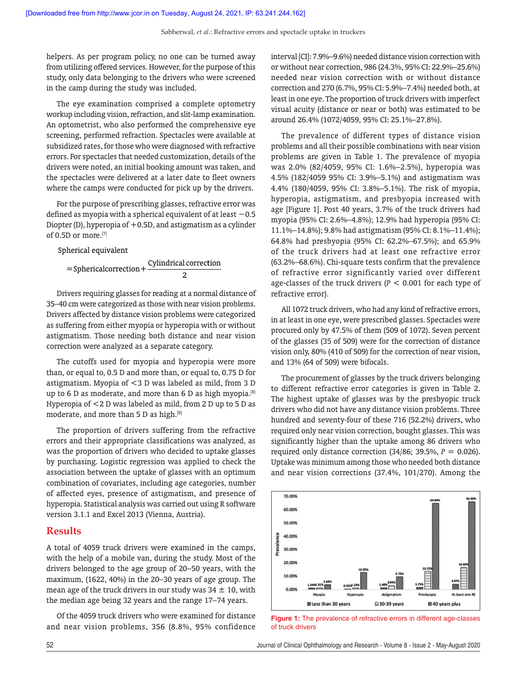helpers. As per program policy, no one can be turned away from utilizing offered services. However, for the purpose of this study, only data belonging to the drivers who were screened in the camp during the study was included.

The eye examination comprised a complete optometry workup including vision, refraction, and slit‑lamp examination. An optometrist, who also performed the comprehensive eye screening, performed refraction. Spectacles were available at subsidized rates, for those who were diagnosed with refractive errors. For spectacles that needed customization, details of the drivers were noted, an initial booking amount was taken, and the spectacles were delivered at a later date to fleet owners where the camps were conducted for pick up by the drivers.

For the purpose of prescribing glasses, refractive error was defined as myopia with a spherical equivalent of at least  $-0.5$ Diopter (D), hyperopia of  $+0.5D$ , and astigmatism as a cylinder of 0.5D or more.[7]

Spherical equivalent

$$
= Spherical correction + \frac{Cylindrical correction}{2}
$$

Drivers requiring glasses for reading at a normal distance of 35–40 cm were categorized as those with near vision problems. Drivers affected by distance vision problems were categorized as suffering from either myopia or hyperopia with or without astigmatism. Those needing both distance and near vision correction were analyzed as a separate category.

The cutoffs used for myopia and hyperopia were more than, or equal to, 0.5 D and more than, or equal to, 0.75 D for astigmatism. Myopia of <3 D was labeled as mild, from 3 D up to 6 D as moderate, and more than 6 D as high myopia.<sup>[8]</sup> Hyperopia of <2 D was labeled as mild, from 2 D up to 5 D as moderate, and more than 5 D as high.[9]

The proportion of drivers suffering from the refractive errors and their appropriate classifications was analyzed, as was the proportion of drivers who decided to uptake glasses by purchasing. Logistic regression was applied to check the association between the uptake of glasses with an optimum combination of covariates, including age categories, number of affected eyes, presence of astigmatism, and presence of hyperopia. Statistical analysis was carried out using R software version 3.1.1 and Excel 2013 (Vienna, Austria).

### **Results**

A total of 4059 truck drivers were examined in the camps, with the help of a mobile van, during the study. Most of the drivers belonged to the age group of 20–50 years, with the maximum, (1622, 40%) in the 20–30 years of age group. The mean age of the truck drivers in our study was  $34 \pm 10$ , with the median age being 32 years and the range 17–74 years.

Of the 4059 truck drivers who were examined for distance and near vision problems, 356 (8.8%, 95% confidence interval [CI]: 7.9%–9.6%) needed distance vision correction with or without near correction, 986 (24.3%, 95% CI: 22.9%–25.6%) needed near vision correction with or without distance correction and 270 (6.7%, 95% CI: 5.9%–7.4%) needed both, at least in one eye. The proportion of truck drivers with imperfect visual acuity (distance or near or both) was estimated to be around 26.4% (1072/4059, 95% CI: 25.1%–27.8%).

The prevalence of different types of distance vision problems and all their possible combinations with near vision problems are given in Table 1. The prevalence of myopia was 2.0% (82/4059, 95% CI: 1.6%–2.5%), hyperopia was 4.5% (182/4059 95% CI: 3.9%–5.1%) and astigmatism was 4.4% (180/4059, 95% CI: 3.8%–5.1%). The risk of myopia, hyperopia, astigmatism, and presbyopia increased with age [Figure 1]. Post 40 years, 3.7% of the truck drivers had myopia (95% CI: 2.6%–4.8%); 12.9% had hyperopia (95% CI: 11.1%–14.8%); 9.8% had astigmatism (95% CI: 8.1%–11.4%); 64.8% had presbyopia (95% CI: 62.2%–67.5%); and 65.9% of the truck drivers had at least one refractive error (63.2%–68.6%). Chi‑square tests confirm that the prevalence of refractive error significantly varied over different age‑classes of the truck drivers (*P* < 0.001 for each type of refractive error).

All 1072 truck drivers, who had any kind of refractive errors, in at least in one eye, were prescribed glasses. Spectacles were procured only by 47.5% of them (509 of 1072). Seven percent of the glasses (35 of 509) were for the correction of distance vision only, 80% (410 of 509) for the correction of near vision, and 13% (64 of 509) were bifocals.

The procurement of glasses by the truck drivers belonging to different refractive error categories is given in Table 2. The highest uptake of glasses was by the presbyopic truck drivers who did not have any distance vision problems. Three hundred and seventy-four of these 716 (52.2%) drivers, who required only near vision correction, bought glasses. This was significantly higher than the uptake among 86 drivers who required only distance correction (34/86; 39.5%, *P* = 0.026). Uptake was minimum among those who needed both distance and near vision corrections (37.4%, 101/270). Among the



**Figure 1:** The prevalence of refractive errors in different age-classes of truck drivers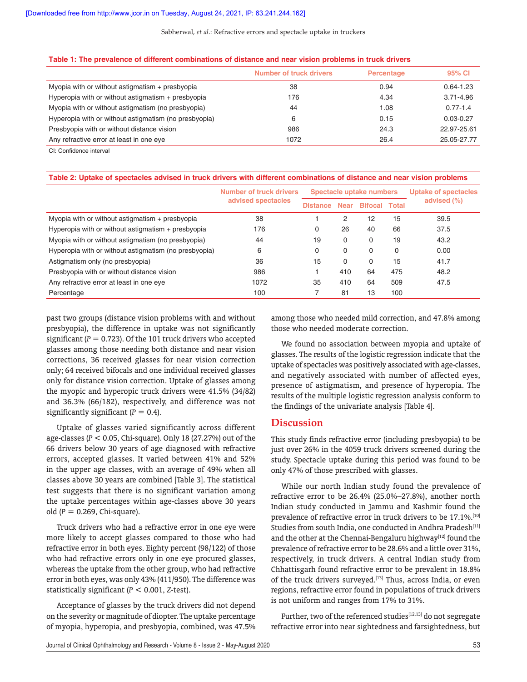#### Sabherwal, *et al*.: Refractive errors and spectacle uptake in truckers

| Table 1: The prevalence of different combinations of distance and near vision problems in truck drivers |                                |            |               |  |  |
|---------------------------------------------------------------------------------------------------------|--------------------------------|------------|---------------|--|--|
|                                                                                                         | <b>Number of truck drivers</b> | Percentage | 95% CI        |  |  |
| Myopia with or without astigmatism + presbyopia                                                         | 38                             | 0.94       | $0.64 - 1.23$ |  |  |
| Hyperopia with or without astigmatism + presbyopia                                                      | 176                            | 4.34       | $3.71 - 4.96$ |  |  |
| Myopia with or without astigmatism (no presbyopia)                                                      | 44                             | 1.08       | $0.77 - 1.4$  |  |  |
| Hyperopia with or without astigmatism (no presbyopia)                                                   | 6                              | 0.15       | $0.03 - 0.27$ |  |  |
| Presbyopia with or without distance vision                                                              | 986                            | 24.3       | 22.97-25.61   |  |  |
| Any refractive error at least in one eye                                                                | 1072                           | 26.4       | 25.05-27.77   |  |  |

CI: Confidence interval

| Table 2: Uptake of spectacles advised in truck drivers with different combinations of distance and near vision problems |  |
|-------------------------------------------------------------------------------------------------------------------------|--|
|-------------------------------------------------------------------------------------------------------------------------|--|

|                                                       | Number of truck drivers | Spectacle uptake numbers |             |                | Uptake of spectacles |             |
|-------------------------------------------------------|-------------------------|--------------------------|-------------|----------------|----------------------|-------------|
|                                                       | advised spectacles      | <b>Distance</b>          | <b>Near</b> | <b>Bifocal</b> | Total                | advised (%) |
| Myopia with or without astigmatism + presbyopia       | 38                      |                          | 2           | 12             | 15                   | 39.5        |
| Hyperopia with or without astigmatism $+$ presbyopia  | 176                     | 0                        | 26          | 40             | 66                   | 37.5        |
| Myopia with or without astigmatism (no presbyopia)    | 44                      | 19                       | 0           | $\Omega$       | 19                   | 43.2        |
| Hyperopia with or without astigmatism (no presbyopia) | 6                       | 0                        | 0           | $\Omega$       | 0                    | 0.00        |
| Astigmatism only (no presbyopia)                      | 36                      | 15                       | 0           | $\Omega$       | 15                   | 41.7        |
| Presbyopia with or without distance vision            | 986                     |                          | 410         | 64             | 475                  | 48.2        |
| Any refractive error at least in one eye              | 1072                    | 35                       | 410         | 64             | 509                  | 47.5        |
| Percentage                                            | 100                     |                          | 81          | 13             | 100                  |             |

past two groups (distance vision problems with and without presbyopia), the difference in uptake was not significantly significant  $(P = 0.723)$ . Of the 101 truck drivers who accepted glasses among those needing both distance and near vision corrections, 36 received glasses for near vision correction only; 64 received bifocals and one individual received glasses only for distance vision correction. Uptake of glasses among the myopic and hyperopic truck drivers were 41.5% (34/82) and 36.3% (66/182), respectively, and difference was not significantly significant  $(P = 0.4)$ .

Uptake of glasses varied significantly across different age‑classes(*P* < 0.05, Chi‑square). Only 18 (27.27%) out of the 66 drivers below 30 years of age diagnosed with refractive errors, accepted glasses. It varied between 41% and 52% in the upper age classes, with an average of 49% when all classes above 30 years are combined [Table 3]. The statistical test suggests that there is no significant variation among the uptake percentages within age-classes above 30 years old (*P* = 0.269, Chi‑square).

Truck drivers who had a refractive error in one eye were more likely to accept glasses compared to those who had refractive error in both eyes. Eighty percent (98/122) of those who had refractive errors only in one eye procured glasses, whereas the uptake from the other group, who had refractive error in both eyes, was only 43% (411/950). The difference was statistically significant (*P* < 0.001, *Z*‑test).

Acceptance of glasses by the truck drivers did not depend on the severity or magnitude of diopter. The uptake percentage of myopia, hyperopia, and presbyopia, combined, was 47.5% among those who needed mild correction, and 47.8% among those who needed moderate correction.

We found no association between myopia and uptake of glasses. The results of the logistic regression indicate that the uptake of spectacles was positively associated with age-classes, and negatively associated with number of affected eyes, presence of astigmatism, and presence of hyperopia. The results of the multiple logistic regression analysis conform to the findings of the univariate analysis [Table 4].

### **Discussion**

This study finds refractive error (including presbyopia) to be just over 26% in the 4059 truck drivers screened during the study. Spectacle uptake during this period was found to be only 47% of those prescribed with glasses.

While our north Indian study found the prevalence of refractive error to be 26.4% (25.0%–27.8%), another north Indian study conducted in Jammu and Kashmir found the prevalence of refractive error in truck drivers to be 17.1%.<sup>[10]</sup> Studies from south India, one conducted in Andhra Pradesh<sup>[11]</sup> and the other at the Chennai-Bengaluru highway<sup>[12]</sup> found the prevalence of refractive error to be 28.6% and a little over 31%, respectively, in truck drivers. A central Indian study from Chhattisgarh found refractive error to be prevalent in 18.8% of the truck drivers surveyed.<sup>[13]</sup> Thus, across India, or even regions, refractive error found in populations of truck drivers is not uniform and ranges from 17% to 31%.

Further, two of the referenced studies<sup>[12,13]</sup> do not segregate refractive error into near sightedness and farsightedness, but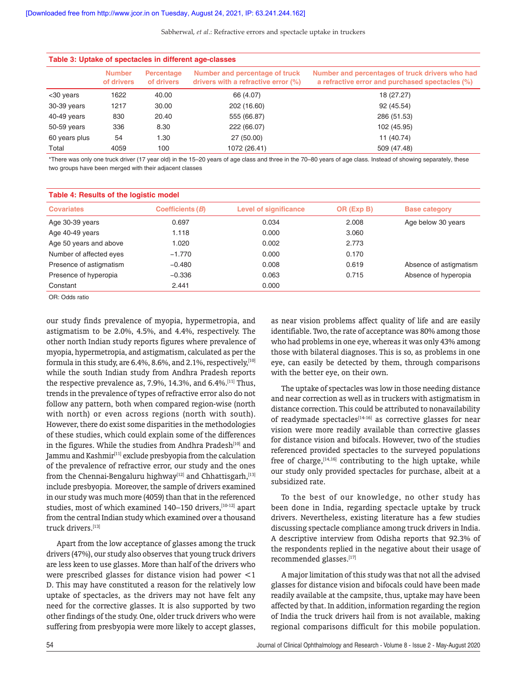Sabherwal, *et al*.: Refractive errors and spectacle uptake in truckers

| Table 3: Uptake of spectacles in different age-classes |                             |                          |                                                                       |                                                                                                    |  |  |
|--------------------------------------------------------|-----------------------------|--------------------------|-----------------------------------------------------------------------|----------------------------------------------------------------------------------------------------|--|--|
|                                                        | <b>Number</b><br>of drivers | Percentage<br>of drivers | Number and percentage of truck<br>drivers with a refractive error (%) | Number and percentages of truck drivers who had<br>a refractive error and purchased spectacles (%) |  |  |
| $<$ 30 years                                           | 1622                        | 40.00                    | 66 (4.07)                                                             | 18 (27.27)                                                                                         |  |  |
| 30-39 years                                            | 1217                        | 30.00                    | 202 (16.60)                                                           | 92 (45.54)                                                                                         |  |  |
| 40-49 years                                            | 830                         | 20.40                    | 555 (66.87)                                                           | 286 (51.53)                                                                                        |  |  |
| 50-59 years                                            | 336                         | 8.30                     | 222 (66.07)                                                           | 102 (45.95)                                                                                        |  |  |
| 60 years plus                                          | 54                          | 1.30                     | 27 (50.00)                                                            | 11 (40.74)                                                                                         |  |  |
| Total                                                  | 4059                        | 100                      | 1072 (26.41)                                                          | 509 (47.48)                                                                                        |  |  |

\*There was only one truck driver (17 year old) in the 15–20 years of age class and three in the 70–80 years of age class. Instead of showing separately, these two groups have been merged with their adjacent classes

| Table 4: Results of the logistic model |                  |                              |            |                        |  |
|----------------------------------------|------------------|------------------------------|------------|------------------------|--|
| <b>Covariates</b>                      | Coefficients (B) | <b>Level of significance</b> | OR (Exp B) | <b>Base category</b>   |  |
| Age 30-39 years                        | 0.697            | 0.034                        | 2.008      | Age below 30 years     |  |
| Age 40-49 years                        | 1.118            | 0.000                        | 3.060      |                        |  |
| Age 50 years and above                 | 1.020            | 0.002                        | 2.773      |                        |  |
| Number of affected eyes                | $-1.770$         | 0.000                        | 0.170      |                        |  |
| Presence of astigmatism                | $-0.480$         | 0.008                        | 0.619      | Absence of astigmatism |  |
| Presence of hyperopia                  | $-0.336$         | 0.063                        | 0.715      | Absence of hyperopia   |  |
| Constant                               | 2.441            | 0.000                        |            |                        |  |

OR: Odds ratio

our study finds prevalence of myopia, hypermetropia, and astigmatism to be 2.0%, 4.5%, and 4.4%, respectively. The other north Indian study reports figures where prevalence of myopia, hypermetropia, and astigmatism, calculated as per the formula in this study, are  $6.4\%$ ,  $8.6\%$ , and  $2.1\%$ , respectively,  $[10]$ while the south Indian study from Andhra Pradesh reports the respective prevalence as, 7.9%, 14.3%, and 6.4%.<sup>[11]</sup> Thus, trends in the prevalence of types of refractive error also do not follow any pattern, both when compared region-wise (north with north) or even across regions (north with south). However, there do exist some disparities in the methodologies of these studies, which could explain some of the differences in the figures. While the studies from Andhra Pradesh<sup>[10]</sup> and Jammu and Kashmir<sup>[11]</sup> exclude presbyopia from the calculation of the prevalence of refractive error, our study and the ones from the Chennai-Bengaluru highway<sup>[12]</sup> and Chhattisgarh,<sup>[13]</sup> include presbyopia. Moreover, the sample of drivers examined in our study was much more (4059) than that in the referenced studies, most of which examined 140-150 drivers, [10-12] apart from the central Indian study which examined over a thousand truck drivers.[13]

Apart from the low acceptance of glasses among the truck drivers(47%), our study also observes that young truck drivers are less keen to use glasses. More than half of the drivers who were prescribed glasses for distance vision had power <1 D. This may have constituted a reason for the relatively low uptake of spectacles, as the drivers may not have felt any need for the corrective glasses. It is also supported by two other findings of the study. One, older truck drivers who were suffering from presbyopia were more likely to accept glasses,

as near vision problems affect quality of life and are easily identifiable. Two, the rate of acceptance was 80% among those who had problems in one eye, whereas it was only 43% among those with bilateral diagnoses. This is so, as problems in one eye, can easily be detected by them, through comparisons with the better eye, on their own.

The uptake of spectacles was low in those needing distance and near correction as well as in truckers with astigmatism in distance correction. This could be attributed to nonavailability of readymade spectacles<sup>[14-16]</sup> as corrective glasses for near vision were more readily available than corrective glasses for distance vision and bifocals. However, two of the studies referenced provided spectacles to the surveyed populations free of charge,<sup>[14,16]</sup> contributing to the high uptake, while our study only provided spectacles for purchase, albeit at a subsidized rate.

To the best of our knowledge, no other study has been done in India, regarding spectacle uptake by truck drivers. Nevertheless, existing literature has a few studies discussing spectacle compliance among truck drivers in India. A descriptive interview from Odisha reports that 92.3% of the respondents replied in the negative about their usage of recommended glasses.[17]

A major limitation of this study was that not all the advised glasses for distance vision and bifocals could have been made readily available at the campsite, thus, uptake may have been affected by that. In addition, information regarding the region of India the truck drivers hail from is not available, making regional comparisons difficult for this mobile population.